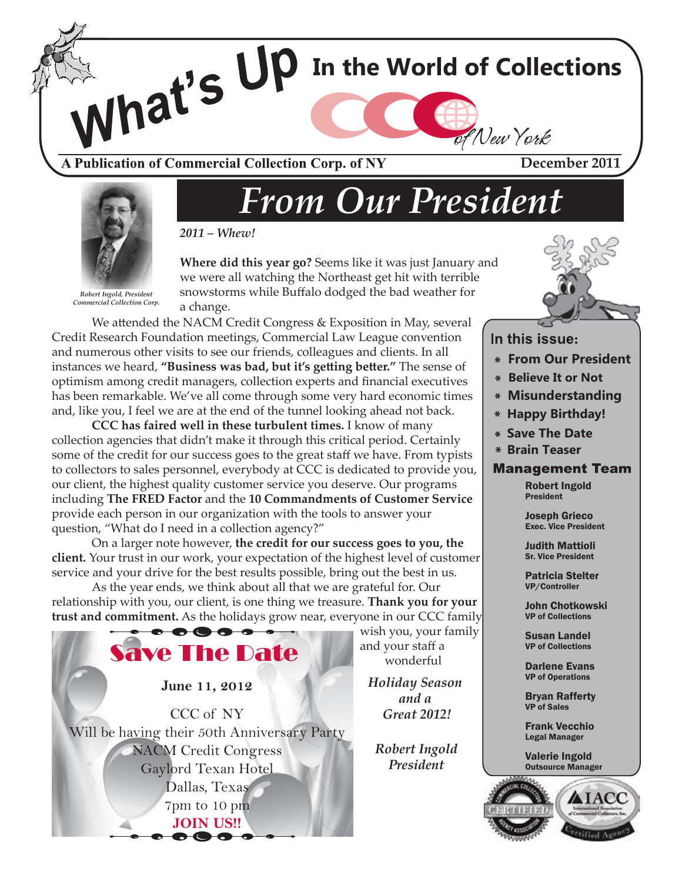

A Publication of Commercial Collection Corp. of NY

**December 2011**



*Robert Ingold, President Commercial Collection Corp.* *From Our President*



**Where did this year go?** Seems like it was just January and we were all watching the Northeast get hit with terrible snowstorms while Buffalo dodged the bad weather for a change.

We attended the NACM Credit Congress & Exposition in May, several Credit Research Foundation meetings, Commercial Law League convention and numerous other visits to see our friends, colleagues and clients. In all instances we heard, **"Business was bad, but it's getting better."** The sense of optimism among credit managers, collection experts and financial executives has been remarkable. We've all come through some very hard economic times and, like you, I feel we are at the end of the tunnel looking ahead not back.

**CCC has faired well in these turbulent times.** I know of many collection agencies that didn't make it through this critical period. Certainly some of the credit for our success goes to the great staff we have. From typists to collectors to sales personnel, everybody at CCC is dedicated to provide you, our client, the highest quality customer service you deserve. Our programs including **The FRED Factor** and the **10 Commandments of Customer Service** provide each person in our organization with the tools to answer your question, "What do I need in a collection agency?"

 On a larger note however, **the credit for our success goes to you, the client.** Your trust in our work, your expectation of the highest level of customer service and your drive for the best results possible, bring out the best in us.

 As the year ends, we think about all that we are grateful for. Our relationship with you, our client, is one thing we treasure. **Thank you for your trust and commitment.** As the holidays grow near, everyone in our CCC family



wish you, your family

*Holiday Season and a Great 2012!*

*Robert Ingold President*



In this issue:

- **From Our President**
- **Believe It or Not**
- **Misunderstanding**
- **Happy Birthday!**
- **Save The Date**
- **Brain Teaser**

#### **Management Team**

Robert Ingold President

Joseph Grieco Exec. Vice President

Judith Mattioli Sr. Vice President

Patricia Stelter VP/Controller

John Chotkowski VP of Collections

Susan Landel VP of Collections

Darlene Evans VP of Operations

Bryan Rafferty VP of Sales

Frank Vecchio Legal Manager

Valerie Ingold Outsource Manager